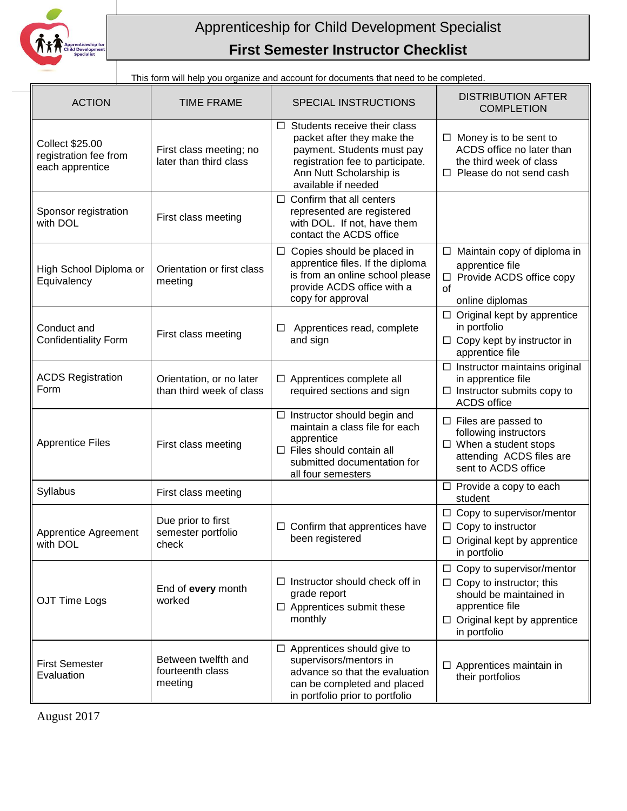

## Apprenticeship for Child Development Specialist **First Semester Instructor Checklist**

This form will help you organize and account for documents that need to be completed.

| <b>ACTION</b>                                                      | <b>TIME FRAME</b>                                    | SPECIAL INSTRUCTIONS                                                                                                                                                                  | <b>DISTRIBUTION AFTER</b><br><b>COMPLETION</b>                                                                                                                          |
|--------------------------------------------------------------------|------------------------------------------------------|---------------------------------------------------------------------------------------------------------------------------------------------------------------------------------------|-------------------------------------------------------------------------------------------------------------------------------------------------------------------------|
| <b>Collect \$25.00</b><br>registration fee from<br>each apprentice | First class meeting; no<br>later than third class    | $\Box$ Students receive their class<br>packet after they make the<br>payment. Students must pay<br>registration fee to participate.<br>Ann Nutt Scholarship is<br>available if needed | $\Box$ Money is to be sent to<br>ACDS office no later than<br>the third week of class<br>$\Box$ Please do not send cash                                                 |
| Sponsor registration<br>with DOL                                   | First class meeting                                  | $\Box$ Confirm that all centers<br>represented are registered<br>with DOL. If not, have them<br>contact the ACDS office                                                               |                                                                                                                                                                         |
| High School Diploma or<br>Equivalency                              | Orientation or first class<br>meeting                | $\Box$ Copies should be placed in<br>apprentice files. If the diploma<br>is from an online school please<br>provide ACDS office with a<br>copy for approval                           | $\Box$ Maintain copy of diploma in<br>apprentice file<br>□ Provide ACDS office copy<br>of<br>online diplomas                                                            |
| Conduct and<br><b>Confidentiality Form</b>                         | First class meeting                                  | Apprentices read, complete<br>□<br>and sign                                                                                                                                           | $\Box$ Original kept by apprentice<br>in portfolio<br>$\Box$ Copy kept by instructor in<br>apprentice file                                                              |
| <b>ACDS Registration</b><br>Form                                   | Orientation, or no later<br>than third week of class | Apprentices complete all<br>required sections and sign                                                                                                                                | $\Box$ Instructor maintains original<br>in apprentice file<br>$\Box$ Instructor submits copy to<br><b>ACDS</b> office                                                   |
| <b>Apprentice Files</b>                                            | First class meeting                                  | $\Box$ Instructor should begin and<br>maintain a class file for each<br>apprentice<br>$\Box$ Files should contain all<br>submitted documentation for<br>all four semesters            | $\Box$ Files are passed to<br>following instructors<br>$\Box$ When a student stops<br>attending ACDS files are<br>sent to ACDS office                                   |
| Syllabus                                                           | First class meeting                                  |                                                                                                                                                                                       | $\Box$ Provide a copy to each<br>student                                                                                                                                |
| Apprentice Agreement<br>with DOL                                   | Due prior to first<br>semester portfolio<br>check    | Confirm that apprentices have<br>ப<br>been registered                                                                                                                                 | $\Box$ Copy to supervisor/mentor<br>$\Box$ Copy to instructor<br>$\Box$ Original kept by apprentice<br>in portfolio                                                     |
| OJT Time Logs                                                      | End of every month<br>worked                         | $\Box$ Instructor should check off in<br>grade report<br>$\Box$ Apprentices submit these<br>monthly                                                                                   | $\Box$ Copy to supervisor/mentor<br>$\Box$ Copy to instructor; this<br>should be maintained in<br>apprentice file<br>$\Box$ Original kept by apprentice<br>in portfolio |
| <b>First Semester</b><br>Evaluation                                | Between twelfth and<br>fourteenth class<br>meeting   | $\Box$ Apprentices should give to<br>supervisors/mentors in<br>advance so that the evaluation<br>can be completed and placed<br>in portfolio prior to portfolio                       | $\Box$ Apprentices maintain in<br>their portfolios                                                                                                                      |

August 2017